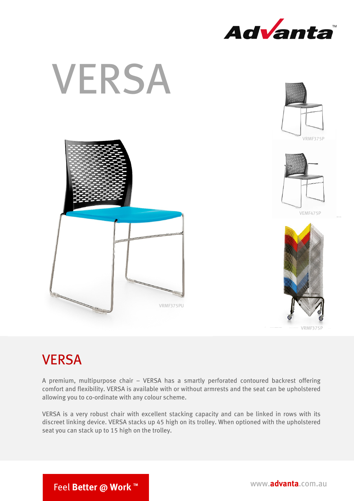



## **VERSA**

A premium, multipurpose chair – VERSA has a smartly perforated contoured backrest offering comfort and flexibility. VERSA is available with or without armrests and the seat can be upholstered allowing you to co-ordinate with any colour scheme.

VERSA is a very robust chair with excellent stacking capacity and can be linked in rows with its discreet linking device. VERSA stacks up 45 high on its trolley. When optioned with the upholstered seat you can stack up to 15 high on the trolley.

Feel Better @ Work ™